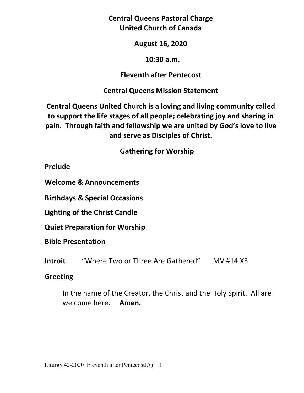**Central Queens Pastoral Charge United Church of Canada** 

#### **August 16, 2020**

#### **10:30 a.m.**

## **Eleventh after Pentecost**

## **Central Queens Mission Statement**

**Central Queens United Church is a loving and living community called to support the life stages of all people; celebrating joy and sharing in pain. Through faith and fellowship we are united by God's love to live and serve as Disciples of Christ.**

# **Gathering for Worship**

**Prelude** 

**Welcome & Announcements** 

**Birthdays & Special Occasions** 

**Lighting of the Christ Candle** 

**Quiet Preparation for Worship** 

**Bible Presentation** 

**Introit** "Where Two or Three Are Gathered" MV #14 X3

**Greeting** 

In the name of the Creator, the Christ and the Holy Spirit.All are welcome here. **Amen.**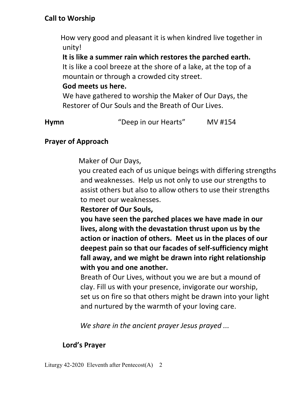## **Call to Worship**

 How very good and pleasant it is when kindred live together in unity!

 **It is like a summer rain which restores the parched earth.**  It is like a cool breeze at the shore of a lake, at the top of a mountain or through a crowded city street.

## **God meets us here.**

 We have gathered to worship the Maker of Our Days, the Restorer of Our Souls and the Breath of Our Lives.

**Hymn** "Deep in our Hearts"MV #154

## **Prayer of Approach**

Maker of Our Days,

 you created each of us unique beings with differing strengths and weaknesses. Help us not only to use our strengths to assist others but also to allow others to use their strengths to meet our weaknesses.

## **Restorer of Our Souls,**

 **you have seen the parched places we have made in our lives, along with the devastation thrust upon us by the action or inaction of others. Meet us in the places of our deepest pain so that our facades of self-sufficiency might fall away, and we might be drawn into right relationship with you and one another.** 

 Breath of Our Lives, without you we are but a mound of clay. Fill us with your presence, invigorate our worship, set us on fire so that others might be drawn into your light and nurtured by the warmth of your loving care.

*We share in the ancient prayer Jesus prayed ...*

## **Lord's Prayer**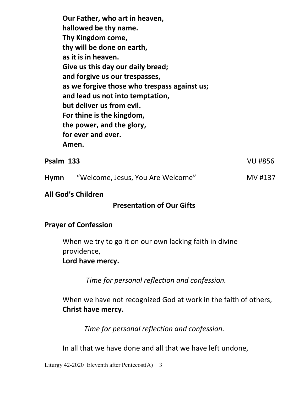**Our Father, who art in heaven, hallowed be thy name. Thy Kingdom come, thy will be done on earth, as it is in heaven. Give us this day our daily bread; and forgive us our trespasses, as we forgive those who trespass against us; and lead us not into temptation, but deliver us from evil. For thine is the kingdom, the power, and the glory, for ever and ever. Amen.**

| Psalm 133   |                                   | <b>VU #856</b> |
|-------------|-----------------------------------|----------------|
| <b>Hymn</b> | "Welcome, Jesus, You Are Welcome" | MV #137        |

#### **All God's Children**

#### **Presentation of Our Gifts**

#### **Prayer of Confession**

When we try to go it on our own lacking faith in divine providence,

**Lord have mercy.** 

 *Time for personal reflection and confession.*

 When we have not recognized God at work in the faith of others, **Christ have mercy.** 

 *Time for personal reflection and confession.* 

In all that we have done and all that we have left undone,

Liturgy 42-2020 Eleventh after Pentecost(A) 3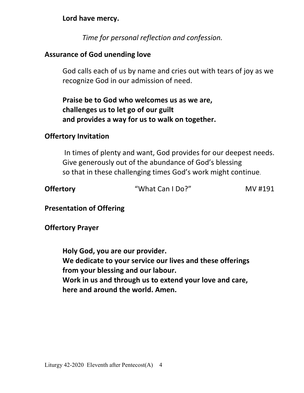## **Lord have mercy.**

 *Time for personal reflection and confession.* 

#### **Assurance of God unending love**

 God calls each of us by name and cries out with tears of joy as we recognize God in our admission of need.

 **Praise be to God who welcomes us as we are, challenges us to let go of our guilt and provides a way for us to walk on together.**

#### **Offertory Invitation**

 In times of plenty and want, God provides for our deepest needs. Give generously out of the abundance of God's blessing so that in these challenging times God's work might continue.

| <b>Offertory</b><br>"What Can I Do?" | MV #191 |  |
|--------------------------------------|---------|--|
|--------------------------------------|---------|--|

**Presentation of Offering** 

**Offertory Prayer** 

 **Holy God, you are our provider. We dedicate to your service our lives and these offerings from your blessing and our labour. Work in us and through us to extend your love and care, here and around the world. Amen.**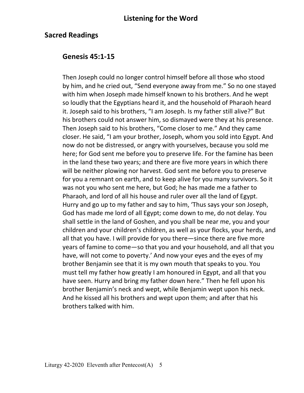## **Sacred Readings**

## **Genesis 45:1-15**

Then Joseph could no longer control himself before all those who stood by him, and he cried out, "Send everyone away from me." So no one stayed with him when Joseph made himself known to his brothers. And he wept so loudly that the Egyptians heard it, and the household of Pharaoh heard it. Joseph said to his brothers, "I am Joseph. Is my father still alive?" But his brothers could not answer him, so dismayed were they at his presence. Then Joseph said to his brothers, "Come closer to me." And they came closer. He said, "I am your brother, Joseph, whom you sold into Egypt. And now do not be distressed, or angry with yourselves, because you sold me here; for God sent me before you to preserve life. For the famine has been in the land these two years; and there are five more years in which there will be neither plowing nor harvest. God sent me before you to preserve for you a remnant on earth, and to keep alive for you many survivors. So it was not you who sent me here, but God; he has made me a father to Pharaoh, and lord of all his house and ruler over all the land of Egypt. Hurry and go up to my father and say to him, 'Thus says your son Joseph, God has made me lord of all Egypt; come down to me, do not delay. You shall settle in the land of Goshen, and you shall be near me, you and your children and your children's children, as well as your flocks, your herds, and all that you have. I will provide for you there—since there are five more years of famine to come—so that you and your household, and all that you have, will not come to poverty.' And now your eyes and the eyes of my brother Benjamin see that it is my own mouth that speaks to you. You must tell my father how greatly I am honoured in Egypt, and all that you have seen. Hurry and bring my father down here." Then he fell upon his brother Benjamin's neck and wept, while Benjamin wept upon his neck. And he kissed all his brothers and wept upon them; and after that his brothers talked with him.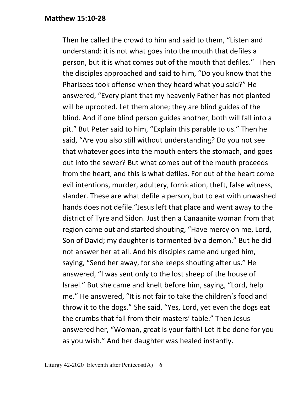Then he called the crowd to him and said to them, "Listen and understand: it is not what goes into the mouth that defiles a person, but it is what comes out of the mouth that defiles." Then the disciples approached and said to him, "Do you know that the Pharisees took offense when they heard what you said?" He answered, "Every plant that my heavenly Father has not planted will be uprooted. Let them alone; they are blind guides of the blind. And if one blind person guides another, both will fall into a pit." But Peter said to him, "Explain this parable to us." Then he said, "Are you also still without understanding? Do you not see that whatever goes into the mouth enters the stomach, and goes out into the sewer? But what comes out of the mouth proceeds from the heart, and this is what defiles. For out of the heart come evil intentions, murder, adultery, fornication, theft, false witness, slander. These are what defile a person, but to eat with unwashed hands does not defile."Jesus left that place and went away to the district of Tyre and Sidon. Just then a Canaanite woman from that region came out and started shouting, "Have mercy on me, Lord, Son of David; my daughter is tormented by a demon." But he did not answer her at all. And his disciples came and urged him, saying, "Send her away, for she keeps shouting after us." He answered, "I was sent only to the lost sheep of the house of Israel." But she came and knelt before him, saying, "Lord, help me." He answered, "It is not fair to take the children's food and throw it to the dogs." She said, "Yes, Lord, yet even the dogs eat the crumbs that fall from their masters' table." Then Jesus answered her, "Woman, great is your faith! Let it be done for you as you wish." And her daughter was healed instantly.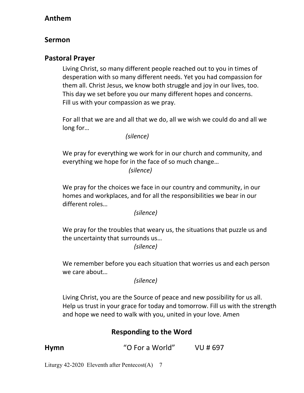#### **Anthem**

#### **Sermon**

#### **Pastoral Prayer**

 Living Christ, so many different people reached out to you in times of desperation with so many different needs. Yet you had compassion for them all. Christ Jesus, we know both struggle and joy in our lives, too. This day we set before you our many different hopes and concerns. Fill us with your compassion as we pray.

 For all that we are and all that we do, all we wish we could do and all we long for…

 *(silence)* 

 We pray for everything we work for in our church and community, and everything we hope for in the face of so much change…

 *(silence)* 

 We pray for the choices we face in our country and community, in our homes and workplaces, and for all the responsibilities we bear in our different roles…

 *(silence)* 

We pray for the troubles that weary us, the situations that puzzle us and the uncertainty that surrounds us…

 *(silence)* 

 We remember before you each situation that worries us and each person we care about…

```
 (silence)
```
 Living Christ, you are the Source of peace and new possibility for us all. Help us trust in your grace for today and tomorrow. Fill us with the strength and hope we need to walk with you, united in your love. Amen

## **Responding to the Word**

| <b>Hymn</b> | "O For a World" | VU # 697 |
|-------------|-----------------|----------|
|-------------|-----------------|----------|

Liturgy 42-2020 Eleventh after Pentecost(A) 7